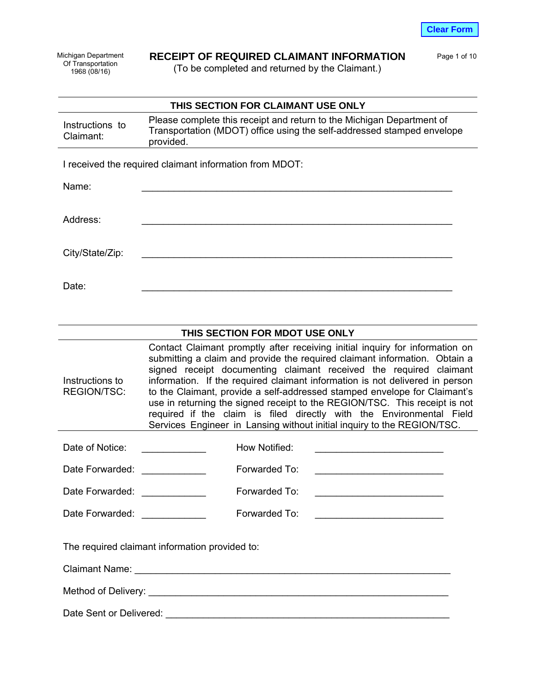Michigan Department Of Transportation 1968 (08/16)

**Instructions** Claimant:

# **RECEIPT OF REQUIRED CLAIMANT INFORMATION** Page 1 of 10

(To be completed and returned by the Claimant.)

|    | THIS SECTION FOR CLAIMANT USE ONLY                                                                                                                           |
|----|--------------------------------------------------------------------------------------------------------------------------------------------------------------|
| to | Please complete this receipt and return to the Michigan Department of<br>Transportation (MDOT) office using the self-addressed stamped envelope<br>provided. |

I received the required claimant information from MDOT:

Name: \_\_\_\_\_\_\_\_\_\_\_\_\_\_\_\_\_\_\_\_\_\_\_\_\_\_\_\_\_\_\_\_\_\_\_\_\_\_\_\_\_\_\_\_\_\_\_\_\_\_\_\_\_\_\_\_\_\_

Address: \_\_\_\_\_\_\_\_\_\_\_\_\_\_\_\_\_\_\_\_\_\_\_\_\_\_\_\_\_\_\_\_\_\_\_\_\_\_\_\_\_\_\_\_\_\_\_\_\_\_\_\_\_\_\_\_\_\_

City/State/Zip:

Date: \_\_\_\_\_\_\_\_\_\_\_\_\_\_\_\_\_\_\_\_\_\_\_\_\_\_\_\_\_\_\_\_\_\_\_\_\_\_\_\_\_\_\_\_\_\_\_\_\_\_\_\_\_\_\_\_\_\_

# **THIS SECTION FOR MDOT USE ONLY**

Instructions to REGION/TSC: Contact Claimant promptly after receiving initial inquiry for information on submitting a claim and provide the required claimant information. Obtain a signed receipt documenting claimant received the required claimant information. If the required claimant information is not delivered in person to the Claimant, provide a self-addressed stamped envelope for Claimant's use in returning the signed receipt to the REGION/TSC. This receipt is not required if the claim is filed directly with the Environmental Field Services Engineer in Lansing without initial inquiry to the REGION/TSC.

| Date of Notice: | How Notified: |  |
|-----------------|---------------|--|
|                 |               |  |

| Forwarded To: |  |
|---------------|--|
|               |  |

Date Forwarded: example Forwarded To:  $\blacksquare$ Date Forwarded: example a Forwarded To:

The required claimant information provided to:

Claimant Name: \_\_\_\_\_\_\_\_\_\_\_\_\_\_\_\_\_\_\_\_\_\_\_\_\_\_\_\_\_\_\_\_\_\_\_\_\_\_\_\_\_\_\_\_\_\_\_\_\_\_\_\_\_\_\_\_\_\_\_

Method of Delivery: \_\_\_\_\_\_\_\_\_\_\_\_\_\_\_\_\_\_\_\_\_\_\_\_\_\_\_\_\_\_\_\_\_\_\_\_\_\_\_\_\_\_\_\_\_\_\_\_\_\_\_\_\_\_\_\_

Date Sent or Delivered: \_\_\_\_\_\_\_\_\_\_\_\_\_\_\_\_\_\_\_\_\_\_\_\_\_\_\_\_\_\_\_\_\_\_\_\_\_\_\_\_\_\_\_\_\_\_\_\_\_\_\_\_\_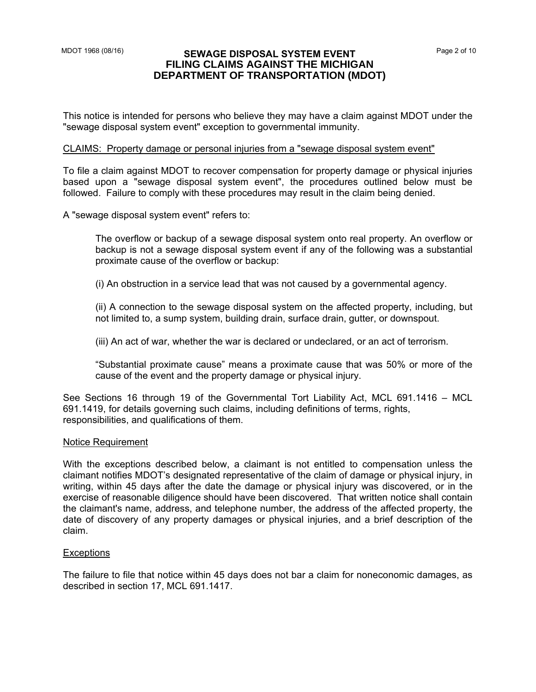#### MDOT 1968 (08/16) **SEWAGE DISPOSAL SYSTEM EVENT** Page 2 of 10 **FILING CLAIMS AGAINST THE MICHIGAN DEPARTMENT OF TRANSPORTATION (MDOT)**

This notice is intended for persons who believe they may have a claim against MDOT under the "sewage disposal system event" exception to governmental immunity.

#### CLAIMS: Property damage or personal injuries from a "sewage disposal system event"

To file a claim against MDOT to recover compensation for property damage or physical injuries based upon a "sewage disposal system event", the procedures outlined below must be followed. Failure to comply with these procedures may result in the claim being denied.

A "sewage disposal system event" refers to:

The overflow or backup of a sewage disposal system onto real property. An overflow or backup is not a sewage disposal system event if any of the following was a substantial proximate cause of the overflow or backup:

(i) An obstruction in a service lead that was not caused by a governmental agency.

(ii) A connection to the sewage disposal system on the affected property, including, but not limited to, a sump system, building drain, surface drain, gutter, or downspout.

(iii) An act of war, whether the war is declared or undeclared, or an act of terrorism.

"Substantial proximate cause" means a proximate cause that was 50% or more of the cause of the event and the property damage or physical injury.

See Sections 16 through 19 of the Governmental Tort Liability Act, MCL 691.1416 – MCL responsibilities, and qualifications of them. 691.1419, for details governing such claims, including definitions of terms, rights,

#### Notice Requirement

With the exceptions described below, a claimant is not entitled to compensation unless the claimant notifies MDOT's designated representative of the claim of damage or physical injury, in writing, within 45 days after the date the damage or physical injury was discovered, or in the exercise of reasonable diligence should have been discovered. That written notice shall contain the claimant's name, address, and telephone number, the address of the affected property, the date of discovery of any property damages or physical injuries, and a brief description of the claim.

#### **Exceptions**

The failure to file that notice within 45 days does not bar a claim for noneconomic damages, as described in section 17, MCL 691.1417.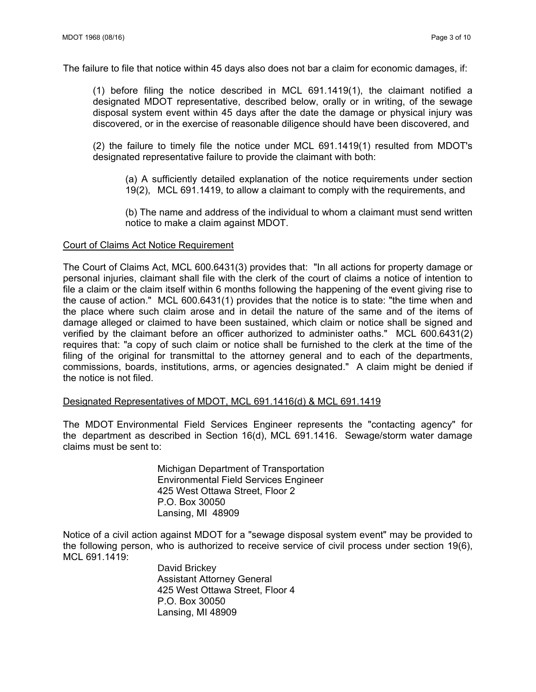The failure to file that notice within 45 days also does not bar a claim for economic damages, if:

(1) before filing the notice described in MCL 691.1419(1), the claimant notified a designated MDOT representative, described below, orally or in writing, of the sewage disposal system event within 45 days after the date the damage or physical injury was discovered, or in the exercise of reasonable diligence should have been discovered, and

(2) the failure to timely file the notice under MCL 691.1419(1) resulted from MDOT's designated representative failure to provide the claimant with both:

(a) A sufficiently detailed explanation of the notice requirements under section 19(2), MCL 691.1419, to allow a claimant to comply with the requirements, and

(b) The name and address of the individual to whom a claimant must send written notice to make a claim against MDOT.

#### Court of Claims Act Notice Requirement

The Court of Claims Act, MCL 600.6431(3) provides that: "In all actions for property damage or personal injuries, claimant shall file with the clerk of the court of claims a notice of intention to file a claim or the claim itself within 6 months following the happening of the event giving rise to the cause of action." MCL 600.6431(1) provides that the notice is to state: "the time when and the place where such claim arose and in detail the nature of the same and of the items of damage alleged or claimed to have been sustained, which claim or notice shall be signed and verified by the claimant before an officer authorized to administer oaths." MCL 600.6431(2) requires that: "a copy of such claim or notice shall be furnished to the clerk at the time of the filing of the original for transmittal to the attorney general and to each of the departments, commissions, boards, institutions, arms, or agencies designated." A claim might be denied if the notice is not filed.

#### Designated Representatives of MDOT, MCL 691.1416(d) & MCL 691.1419

The MDOT Environmental Field Services Engineer represents the "contacting agency" for the department as described in Section 16(d), MCL 691.1416. Sewage/storm water damage claims must be sent to:

> Michigan Department of Transportation Environmental Field Services Engineer 425 West Ottawa Street, Floor 2 P.O. Box 30050 Lansing, MI 48909

Notice of a civil action against MDOT for a "sewage disposal system event" may be provided to the following person, who is authorized to receive service of civil process under section 19(6), MCL 691.1419:

> David Brickey Assistant Attorney General 425 West Ottawa Street, Floor 4 P.O. Box 30050 Lansing, MI 48909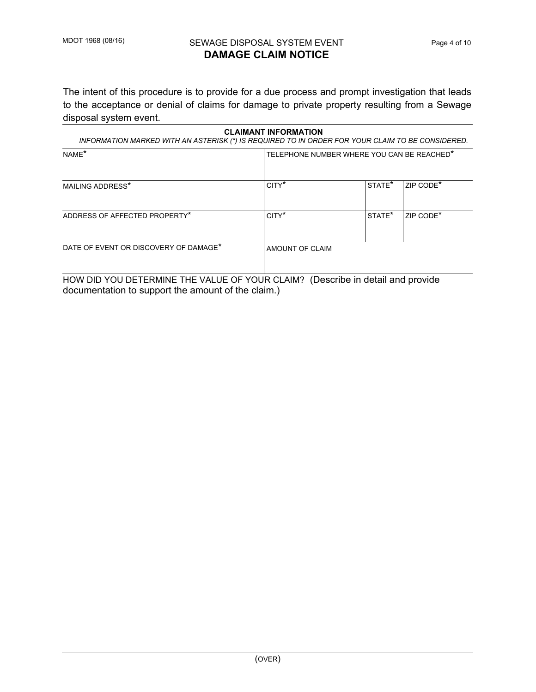## MDOT 1968 (08/16) SEWAGE DISPOSAL SYSTEM EVENT FRage 4 of 10 **DAMAGE CLAIM NOTICE**

The intent of this procedure is to provide for a due process and prompt investigation that leads to the acceptance or denial of claims for damage to private property resulting from a Sewage disposal system event.

| <b>CLAIMANT INFORMATION</b><br>INFORMATION MARKED WITH AN ASTERISK (*) IS REQUIRED TO IN ORDER FOR YOUR CLAIM TO BE CONSIDERED. |                                            |                    |                       |  |  |  |  |
|---------------------------------------------------------------------------------------------------------------------------------|--------------------------------------------|--------------------|-----------------------|--|--|--|--|
| NAME*                                                                                                                           | TELEPHONE NUMBER WHERE YOU CAN BE REACHED* |                    |                       |  |  |  |  |
| MAILING ADDRESS*                                                                                                                | CITY <sup>*</sup>                          | STATE <sup>*</sup> | ZIP CODE*             |  |  |  |  |
| ADDRESS OF AFFECTED PROPERTY*                                                                                                   | CITY <sup>*</sup>                          | STATE <sup>*</sup> | ZIP CODE <sup>*</sup> |  |  |  |  |
| DATE OF EVENT OR DISCOVERY OF DAMAGE*                                                                                           | AMOUNT OF CLAIM                            |                    |                       |  |  |  |  |

HOW DID YOU DETERMINE THE VALUE OF YOUR CLAIM? (Describe in detail and provide documentation to support the amount of the claim.)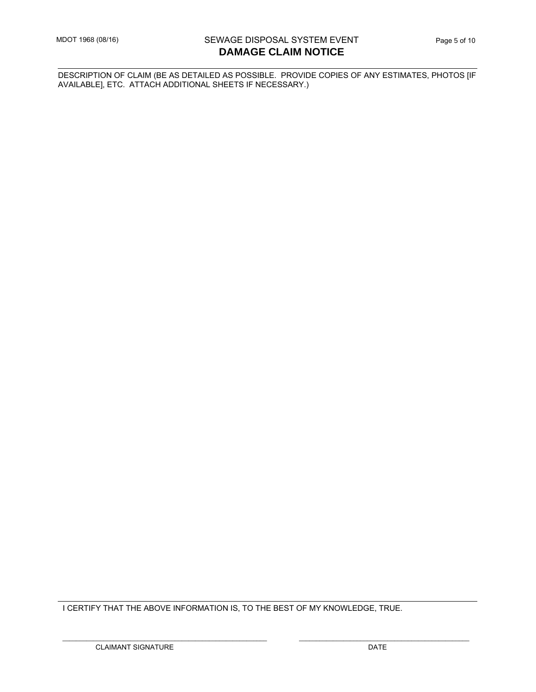DESCRIPTION OF CLAIM (BE AS DETAILED AS POSSIBLE. PROVIDE COPIES OF ANY ESTIMATES, PHOTOS [IF AVAILABLE], ETC. ATTACH ADDITIONAL SHEETS IF NECESSARY.)

I CERTIFY THAT THE ABOVE INFORMATION IS, TO THE BEST OF MY KNOWLEDGE, TRUE.

\_\_\_\_\_\_\_\_\_\_\_\_\_\_\_\_\_\_\_\_\_\_\_\_\_\_\_\_\_\_\_\_\_\_\_\_\_\_\_\_\_\_\_\_\_\_\_\_\_\_\_\_\_\_\_\_\_\_\_\_ \_\_\_\_\_\_\_\_\_\_\_\_\_\_\_\_\_\_\_\_\_\_\_\_\_\_\_\_\_\_\_\_\_\_\_\_\_\_\_\_\_\_\_\_\_\_\_\_\_\_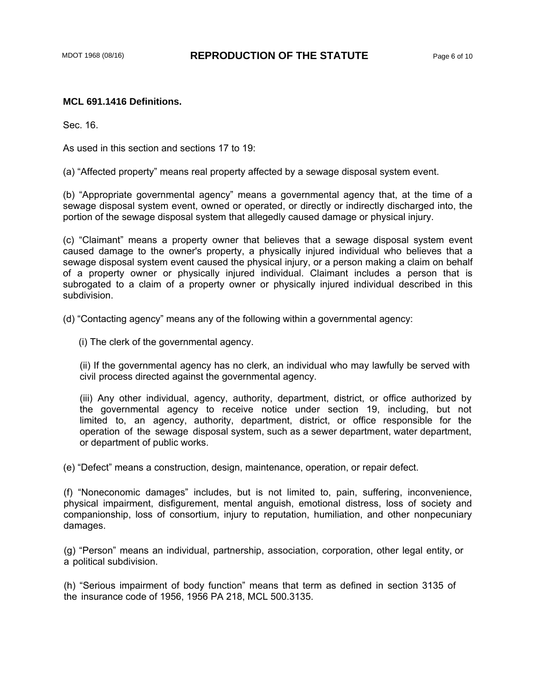#### **MCL 691.1416 Definitions.**

Sec. 16.

As used in this section and sections 17 to 19:

(a) "Affected property" means real property affected by a sewage disposal system event.

(b) "Appropriate governmental agency" means a governmental agency that, at the time of a sewage disposal system event, owned or operated, or directly or indirectly discharged into, the portion of the sewage disposal system that allegedly caused damage or physical injury.

(c) "Claimant" means a property owner that believes that a sewage disposal system event caused damage to the owner's property, a physically injured individual who believes that a sewage disposal system event caused the physical injury, or a person making a claim on behalf of a property owner or physically injured individual. Claimant includes a person that is subrogated to a claim of a property owner or physically injured individual described in this subdivision.

(d) "Contacting agency" means any of the following within a governmental agency:

(i) The clerk of the governmental agency.

(ii) If the governmental agency has no clerk, an individual who may lawfully be served with civil process directed against the governmental agency.

(iii) Any other individual, agency, authority, department, district, or office authorized by the governmental agency to receive notice under section 19, including, but not limited to, an agency, authority, department, district, or office responsible for the operation of the sewage disposal system, such as a sewer department, water department, or department of public works.

(e) "Defect" means a construction, design, maintenance, operation, or repair defect.

(f) "Noneconomic damages" includes, but is not limited to, pain, suffering, inconvenience, physical impairment, disfigurement, mental anguish, emotional distress, loss of society and companionship, loss of consortium, injury to reputation, humiliation, and other nonpecuniary damages.

(g) "Person" means an individual, partnership, association, corporation, other legal entity, or a political subdivision.

(h) "Serious impairment of body function" means that term as defined in section 3135 of the insurance code of 1956, 1956 PA 218, MCL 500.3135.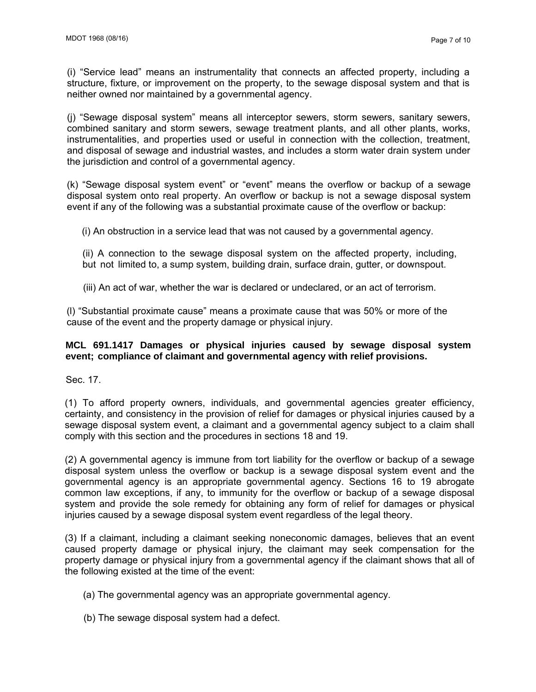(i) "Service lead" means an instrumentality that connects an affected property, including a structure, fixture, or improvement on the property, to the sewage disposal system and that is neither owned nor maintained by a governmental agency.

(j) "Sewage disposal system" means all interceptor sewers, storm sewers, sanitary sewers, combined sanitary and storm sewers, sewage treatment plants, and all other plants, works, instrumentalities, and properties used or useful in connection with the collection, treatment, and disposal of sewage and industrial wastes, and includes a storm water drain system under the jurisdiction and control of a governmental agency.

(k) "Sewage disposal system event" or "event" means the overflow or backup of a sewage disposal system onto real property. An overflow or backup is not a sewage disposal system event if any of the following was a substantial proximate cause of the overflow or backup:

(i) An obstruction in a service lead that was not caused by a governmental agency.

(ii) A connection to the sewage disposal system on the affected property, including, but not limited to, a sump system, building drain, surface drain, gutter, or downspout.

(iii) An act of war, whether the war is declared or undeclared, or an act of terrorism.

(l) "Substantial proximate cause" means a proximate cause that was 50% or more of the cause of the event and the property damage or physical injury.

### **MCL 691.1417 Damages or physical injuries caused by sewage disposal system event; compliance of claimant and governmental agency with relief provisions.**

Sec. 17.

(1) To afford property owners, individuals, and governmental agencies greater efficiency, certainty, and consistency in the provision of relief for damages or physical injuries caused by a sewage disposal system event, a claimant and a governmental agency subject to a claim shall comply with this section and the procedures in sections 18 and 19.

(2) A governmental agency is immune from tort liability for the overflow or backup of a sewage disposal system unless the overflow or backup is a sewage disposal system event and the governmental agency is an appropriate governmental agency. Sections 16 to 19 abrogate common law exceptions, if any, to immunity for the overflow or backup of a sewage disposal system and provide the sole remedy for obtaining any form of relief for damages or physical injuries caused by a sewage disposal system event regardless of the legal theory.

(3) If a claimant, including a claimant seeking noneconomic damages, believes that an event caused property damage or physical injury, the claimant may seek compensation for the property damage or physical injury from a governmental agency if the claimant shows that all of the following existed at the time of the event:

- (a) The governmental agency was an appropriate governmental agency.
- (b) The sewage disposal system had a defect.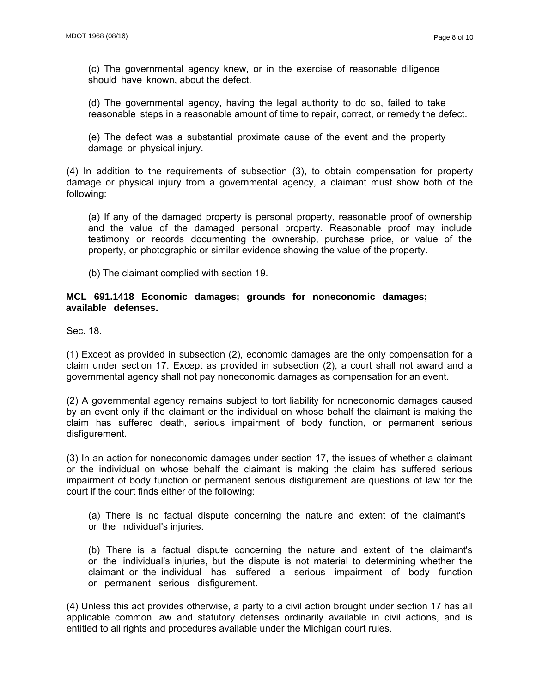(c) The governmental agency knew, or in the exercise of reasonable diligence should have known, about the defect.

(d) The governmental agency, having the legal authority to do so, failed to take reasonable steps in a reasonable amount of time to repair, correct, or remedy the defect.

(e) The defect was a substantial proximate cause of the event and the property damage or physical injury.

(4) In addition to the requirements of subsection (3), to obtain compensation for property damage or physical injury from a governmental agency, a claimant must show both of the following:

(a) If any of the damaged property is personal property, reasonable proof of ownership and the value of the damaged personal property. Reasonable proof may include testimony or records documenting the ownership, purchase price, or value of the property, or photographic or similar evidence showing the value of the property.

(b) The claimant complied with section 19.

#### **MCL 691.1418 Economic damages; grounds for noneconomic damages; available defenses.**

Sec. 18.

(1) Except as provided in subsection (2), economic damages are the only compensation for a claim under section 17. Except as provided in subsection (2), a court shall not award and a governmental agency shall not pay noneconomic damages as compensation for an event.

(2) A governmental agency remains subject to tort liability for noneconomic damages caused by an event only if the claimant or the individual on whose behalf the claimant is making the claim has suffered death, serious impairment of body function, or permanent serious disfigurement.

(3) In an action for noneconomic damages under section 17, the issues of whether a claimant or the individual on whose behalf the claimant is making the claim has suffered serious impairment of body function or permanent serious disfigurement are questions of law for the court if the court finds either of the following:

(a) There is no factual dispute concerning the nature and extent of the claimant's or the individual's injuries.

(b) There is a factual dispute concerning the nature and extent of the claimant's or the individual's injuries, but the dispute is not material to determining whether the claimant or the individual has suffered a serious impairment of body function or permanent serious disfigurement.

(4) Unless this act provides otherwise, a party to a civil action brought under section 17 has all applicable common law and statutory defenses ordinarily available in civil actions, and is entitled to all rights and procedures available under the Michigan court rules.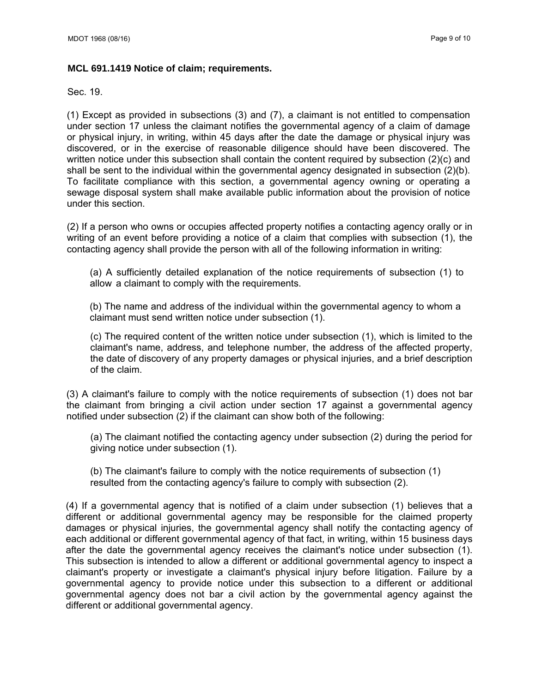#### **MCL 691.1419 Notice of claim; requirements.**

Sec. 19.

(1) Except as provided in subsections (3) and (7), a claimant is not entitled to compensation under section 17 unless the claimant notifies the governmental agency of a claim of damage or physical injury, in writing, within 45 days after the date the damage or physical injury was discovered, or in the exercise of reasonable diligence should have been discovered. The written notice under this subsection shall contain the content required by subsection (2)(c) and shall be sent to the individual within the governmental agency designated in subsection (2)(b). To facilitate compliance with this section, a governmental agency owning or operating a sewage disposal system shall make available public information about the provision of notice under this section.

(2) If a person who owns or occupies affected property notifies a contacting agency orally or in writing of an event before providing a notice of a claim that complies with subsection (1), the contacting agency shall provide the person with all of the following information in writing:

(a) A sufficiently detailed explanation of the notice requirements of subsection (1) to allow a claimant to comply with the requirements.

(b) The name and address of the individual within the governmental agency to whom a claimant must send written notice under subsection (1).

(c) The required content of the written notice under subsection (1), which is limited to the claimant's name, address, and telephone number, the address of the affected property, the date of discovery of any property damages or physical injuries, and a brief description of the claim.

(3) A claimant's failure to comply with the notice requirements of subsection (1) does not bar the claimant from bringing a civil action under section 17 against a governmental agency notified under subsection (2) if the claimant can show both of the following:

(a) The claimant notified the contacting agency under subsection (2) during the period for giving notice under subsection (1).

(b) The claimant's failure to comply with the notice requirements of subsection (1) resulted from the contacting agency's failure to comply with subsection (2).

(4) If a governmental agency that is notified of a claim under subsection (1) believes that a different or additional governmental agency may be responsible for the claimed property damages or physical injuries, the governmental agency shall notify the contacting agency of each additional or different governmental agency of that fact, in writing, within 15 business days after the date the governmental agency receives the claimant's notice under subsection (1). This subsection is intended to allow a different or additional governmental agency to inspect a claimant's property or investigate a claimant's physical injury before litigation. Failure by a governmental agency to provide notice under this subsection to a different or additional governmental agency does not bar a civil action by the governmental agency against the different or additional governmental agency.